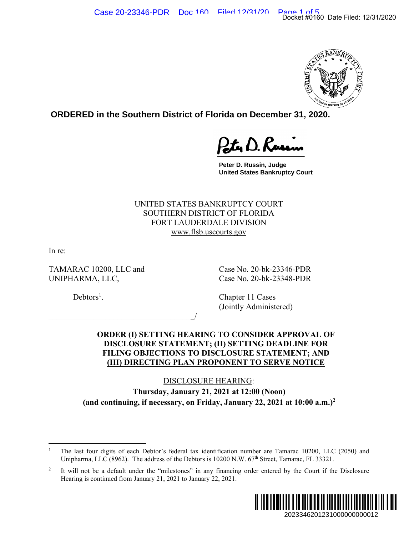**ORDERED in the Southern District of Florida on December 31, 2020.**

**Peter D. Russin, Judge United States Bankruptcy Court \_\_\_\_\_\_\_\_\_\_\_\_\_\_\_\_\_\_\_\_\_\_\_\_\_\_\_\_\_\_\_\_\_\_\_\_\_\_\_\_\_\_\_\_\_\_\_\_\_\_\_\_\_\_\_\_\_\_\_\_\_\_\_\_\_\_\_\_\_\_\_\_\_\_\_\_\_**

## UNITED STATES BANKRUPTCY COURT SOUTHERN DISTRICT OF FLORIDA FORT LAUDERDALE DIVISION www.flsb.uscourts.gov

In re:

TAMARAC 10200, LLC and Case No. 20-bk-23346-PDR UNIPHARMA, LLC, Case No. 20-bk-23348-PDR

 $\overline{\phantom{a}}$ 

 $Debtors<sup>1</sup>$ .

. Chapter 11 Cases (Jointly Administered)

# **ORDER (I) SETTING HEARING TO CONSIDER APPROVAL OF DISCLOSURE STATEMENT; (II) SETTING DEADLINE FOR FILING OBJECTIONS TO DISCLOSURE STATEMENT; AND (III) DIRECTING PLAN PROPONENT TO SERVE NOTICE**

DISCLOSURE HEARING: **Thursday, January 21, 2021 at 12:00 (Noon) (and continuing, if necessary, on Friday, January 22, 2021 at 10:00 a.m.)2**

<sup>2</sup> It will not be a default under the "milestones" in any financing order entered by the Court if the Disclosure Hearing is continued from January 21, 2021 to January 22, 2021.



<sup>1</sup> The last four digits of each Debtor's federal tax identification number are Tamarac 10200, LLC (2050) and Unipharma, LLC (8962). The address of the Debtors is 10200 N.W. 67<sup>th</sup> Street, Tamarac, FL 33321.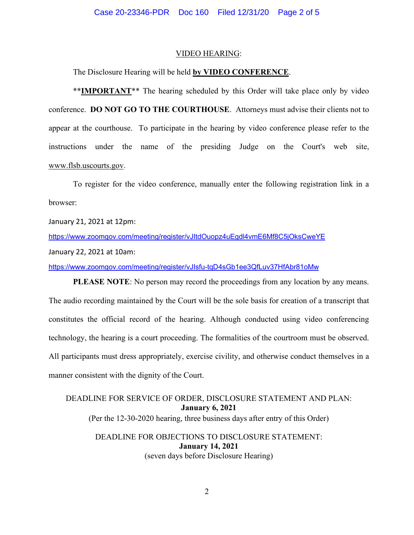#### Case 20-23346-PDR Doc 160 Filed 12/31/20 Page 2 of 5

#### VIDEO HEARING:

## The Disclosure Hearing will be held **by VIDEO CONFERENCE**.

 \*\***IMPORTANT**\*\* The hearing scheduled by this Order will take place only by video conference. **DO NOT GO TO THE COURTHOUSE**. Attorneys must advise their clients not to appear at the courthouse. To participate in the hearing by video conference please refer to the instructions under the name of the presiding Judge on the Court's web site, www.flsb.uscourts.gov.

 To register for the video conference, manually enter the following registration link in a browser:

January 21, 2021 at 12pm:

https://www.zoomgov.com/meeting/register/vJItdOuopz4uEgdl4vmE6Mf8C5jOksCweYE

January 22, 2021 at 10am:

https://www.zoomgov.com/meeting/register/vJIsfu-tqD4sGb1ee3QfLuv37HfAbr81oMw

**PLEASE NOTE:** No person may record the proceedings from any location by any means. The audio recording maintained by the Court will be the sole basis for creation of a transcript that constitutes the official record of the hearing. Although conducted using video conferencing technology, the hearing is a court proceeding. The formalities of the courtroom must be observed. All participants must dress appropriately, exercise civility, and otherwise conduct themselves in a manner consistent with the dignity of the Court.

# DEADLINE FOR SERVICE OF ORDER, DISCLOSURE STATEMENT AND PLAN: **January 6, 2021**  (Per the 12-30-2020 hearing, three business days after entry of this Order)

## DEADLINE FOR OBJECTIONS TO DISCLOSURE STATEMENT: **January 14, 2021**  (seven days before Disclosure Hearing)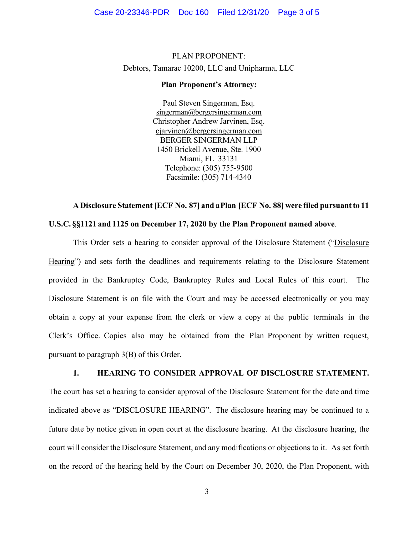#### Case 20-23346-PDR Doc 160 Filed 12/31/20 Page 3 of 5

PLAN PROPONENT: Debtors, Tamarac 10200, LLC and Unipharma, LLC

#### **Plan Proponent's Attorney:**

Paul Steven Singerman, Esq. singerman@bergersingerman.com Christopher Andrew Jarvinen, Esq. cjarvinen@bergersingerman.com BERGER SINGERMAN LLP 1450 Brickell Avenue, Ste. 1900 Miami, FL 33131 Telephone: (305) 755-9500 Facsimile: (305) 714-4340

# **A Disclosure Statement [ECF No. 87] and a Plan [ECF No. 88] were filed pursuant to 11 U.S.C. §§1121 and 1125 on December 17, 2020 by the Plan Proponent named above**.

This Order sets a hearing to consider approval of the Disclosure Statement ("Disclosure Hearing") and sets forth the deadlines and requirements relating to the Disclosure Statement provided in the Bankruptcy Code, Bankruptcy Rules and Local Rules of this court. The Disclosure Statement is on file with the Court and may be accessed electronically or you may obtain a copy at your expense from the clerk or view a copy at the public terminals in the Clerk's Office. Copies also may be obtained from the Plan Proponent by written request, pursuant to paragraph 3(B) of this Order.

### **1. HEARING TO CONSIDER APPROVAL OF DISCLOSURE STATEMENT.**

The court has set a hearing to consider approval of the Disclosure Statement for the date and time indicated above as "DISCLOSURE HEARING". The disclosure hearing may be continued to a future date by notice given in open court at the disclosure hearing. At the disclosure hearing, the court will consider the Disclosure Statement, and any modifications or objections to it. As set forth on the record of the hearing held by the Court on December 30, 2020, the Plan Proponent, with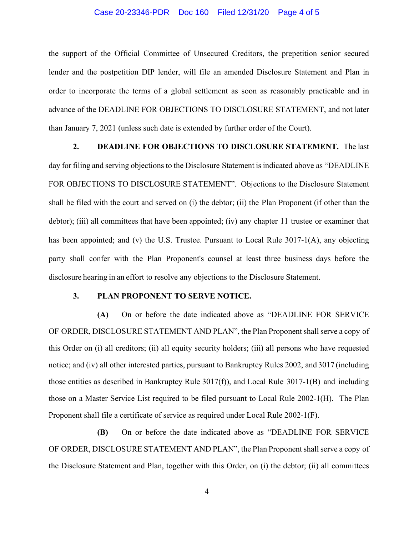#### Case 20-23346-PDR Doc 160 Filed 12/31/20 Page 4 of 5

the support of the Official Committee of Unsecured Creditors, the prepetition senior secured lender and the postpetition DIP lender, will file an amended Disclosure Statement and Plan in order to incorporate the terms of a global settlement as soon as reasonably practicable and in advance of the DEADLINE FOR OBJECTIONS TO DISCLOSURE STATEMENT, and not later than January 7, 2021 (unless such date is extended by further order of the Court).

**2. DEADLINE FOR OBJECTIONS TO DISCLOSURE STATEMENT.** The last day for filing and serving objections to the Disclosure Statement is indicated above as "DEADLINE FOR OBJECTIONS TO DISCLOSURE STATEMENT". Objections to the Disclosure Statement shall be filed with the court and served on (i) the debtor; (ii) the Plan Proponent (if other than the debtor); (iii) all committees that have been appointed; (iv) any chapter 11 trustee or examiner that has been appointed; and (v) the U.S. Trustee. Pursuant to Local Rule 3017-1(A), any objecting party shall confer with the Plan Proponent's counsel at least three business days before the disclosure hearing in an effort to resolve any objections to the Disclosure Statement.

## **3. PLAN PROPONENT TO SERVE NOTICE.**

**(A)** On or before the date indicated above as "DEADLINE FOR SERVICE OF ORDER, DISCLOSURE STATEMENT AND PLAN", the Plan Proponent shall serve a copy of this Order on (i) all creditors; (ii) all equity security holders; (iii) all persons who have requested notice; and (iv) all other interested parties, pursuant to Bankruptcy Rules 2002, and 3017 (including those entities as described in Bankruptcy Rule  $3017(f)$ , and Local Rule  $3017-1(B)$  and including those on a Master Service List required to be filed pursuant to Local Rule 2002-1(H). The Plan Proponent shall file a certificate of service as required under Local Rule 2002-1(F).

**(B)** On or before the date indicated above as "DEADLINE FOR SERVICE OF ORDER, DISCLOSURE STATEMENT AND PLAN", the Plan Proponent shall serve a copy of the Disclosure Statement and Plan, together with this Order, on (i) the debtor; (ii) all committees